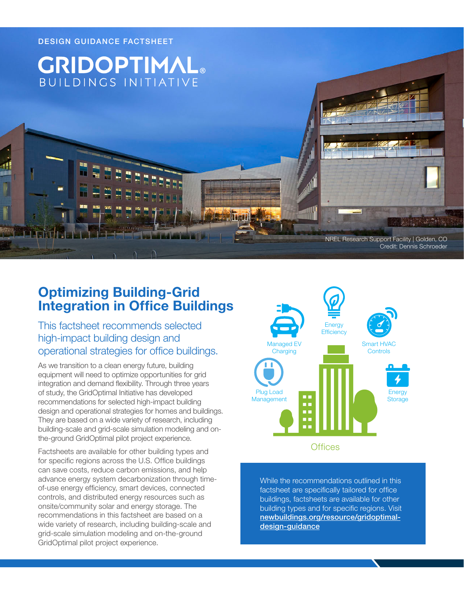

## **Optimizing Building-Grid Integration in Office Buildings**

This factsheet recommends selected high-impact building design and operational strategies for office buildings.

As we transition to a clean energy future, building equipment will need to optimize opportunities for grid integration and demand flexibility. Through three years of study, the GridOptimal Initiative has developed recommendations for selected high-impact building design and operational strategies for homes and buildings. They are based on a wide variety of research, including building-scale and grid-scale simulation modeling and onthe-ground GridOptimal pilot project experience.

Factsheets are available for other building types and for specific regions across the U.S. Office buildings can save costs, reduce carbon emissions, and help advance energy system decarbonization through timeof-use energy efficiency, smart devices, connected controls, and distributed energy resources such as onsite/community solar and energy storage. The recommendations in this factsheet are based on a wide variety of research, including building-scale and grid-scale simulation modeling and on-the-ground GridOptimal pilot project experience.



While the recommendations outlined in this factsheet are specifically tailored for office buildings, factsheets are available for other building types and for specific regions. Visit [newbuildings.org/resource/gridoptimal](https://newbuildings.org/resource/gridoptimal-design-guidance)[design-guidance](https://newbuildings.org/resource/gridoptimal-design-guidance)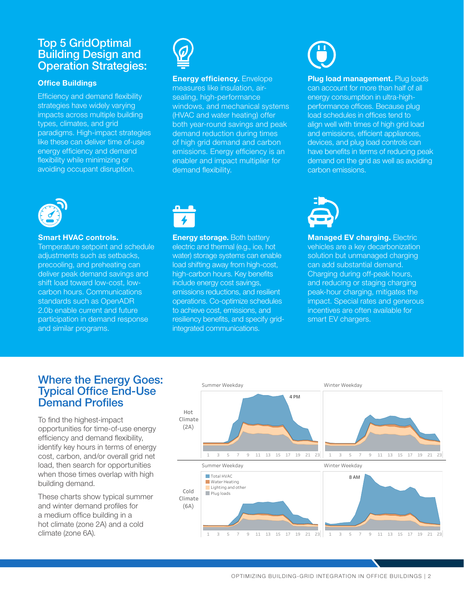## Top 5 GridOptimal Building Design and Operation Strategies:

#### **Office Buildings**

Efficiency and demand flexibility strategies have widely varying impacts across multiple building types, climates, and grid paradigms. High-impact strategies like these can deliver time of-use energy efficiency and demand flexibility while minimizing or avoiding occupant disruption.



**Energy efficiency.** Envelope measures like insulation, airsealing, high-performance windows, and mechanical systems (HVAC and water heating) offer both year-round savings and peak demand reduction during times of high grid demand and carbon emissions. Energy efficiency is an enabler and impact multiplier for demand flexibility.

**Plug load management.** Plug loads can account for more than half of all energy consumption in ultra-highperformance offices. Because plug load schedules in offices tend to align well with times of high grid load and emissions, efficient appliances, devices, and plug load controls can have benefits in terms of reducing peak demand on the grid as well as avoiding carbon emissions.



#### **Smart HVAC controls.**

Temperature setpoint and schedule adjustments such as setbacks, precooling, and preheating can deliver peak demand savings and shift load toward low-cost, lowcarbon hours. Communications standards such as OpenADR 2.0b enable current and future participation in demand response and similar programs.



**Energy storage.** Both battery electric and thermal (e.g., ice, hot water) storage systems can enable load shifting away from high-cost, high-carbon hours. Key benefits include energy cost savings, emissions reductions, and resilient operations. Co-optimize schedules to achieve cost, emissions, and resiliency benefits, and specify gridintegrated communications.



**Managed EV charging. Electric** vehicles are a key decarbonization solution but unmanaged charging can add substantial demand. Charging during off-peak hours, and reducing or staging charging peak-hour charging, mitigates the impact. Special rates and generous incentives are often available for smart EV chargers.

## Where the Energy Goes: Typical Office End-Use Demand Profiles

To find the highest-impact opportunities for time-of-use energy efficiency and demand flexibility, identify key hours in terms of energy cost, carbon, and/or overall grid net load, then search for opportunities when those times overlap with high building demand.

These charts show typical summer and winter demand profiles for a medium office building in a hot climate (zone 2A) and a cold climate (zone 6A).



OPTIMIZING BUILDING-GRID INTEGRATION IN OFFICE BUILDINGS | 2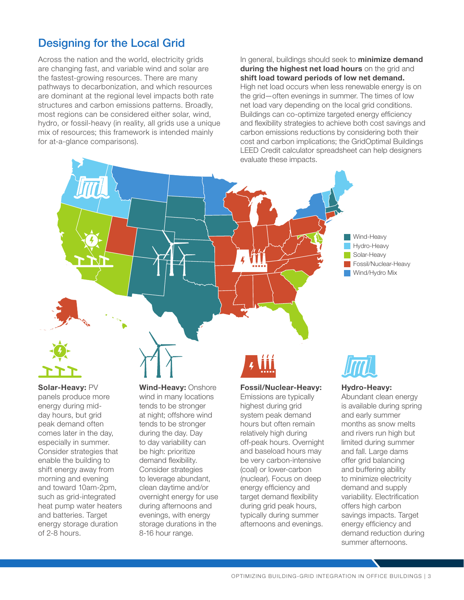## Designing for the Local Grid

Across the nation and the world, electricity grids are changing fast, and variable wind and solar are the fastest-growing resources. There are many pathways to decarbonization, and which resources are dominant at the regional level impacts both rate structures and carbon emissions patterns. Broadly, most regions can be considered either solar, wind, hydro, or fossil-heavy (in reality, all grids use a unique mix of resources; this framework is intended mainly for at-a-glance comparisons).

In general, buildings should seek to **minimize demand during the highest net load hours** on the grid and **shift load toward periods of low net demand.** High net load occurs when less renewable energy is on the grid—often evenings in summer. The times of low net load vary depending on the local grid conditions. Buildings can co-optimize targeted energy efficiency and flexibility strategies to achieve both cost savings and carbon emissions reductions by considering both their cost and carbon implications; the GridOptimal Buildings LEED Credit calculator spreadsheet can help designers evaluate these impacts.





**Solar-Heavy:** PV panels produce more energy during midday hours, but grid peak demand often comes later in the day, especially in summer. Consider strategies that enable the building to shift energy away from morning and evening and toward 10am-2pm, such as grid-integrated heat pump water heaters and batteries. Target energy storage duration of 2-8 hours.

**Wind-Heavy:** Onshore wind in many locations tends to be stronger at night; offshore wind tends to be stronger during the day. Day to day variability can be high: prioritize demand flexibility. Consider strategies to leverage abundant, clean daytime and/or overnight energy for use during afternoons and evenings, with energy storage durations in the 8-16 hour range.

#### **Fossil/Nuclear-Heavy:**

Emissions are typically highest during grid system peak demand hours but often remain relatively high during off-peak hours. Overnight and baseload hours may be very carbon-intensive (coal) or lower-carbon (nuclear). Focus on deep energy efficiency and target demand flexibility during grid peak hours, typically during summer afternoons and evenings.



#### **Hydro-Heavy:**

Abundant clean energy is available during spring and early summer months as snow melts and rivers run high but limited during summer and fall. Large dams offer grid balancing and buffering ability to minimize electricity demand and supply variability. Electrification offers high carbon savings impacts. Target energy efficiency and demand reduction during summer afternoons.